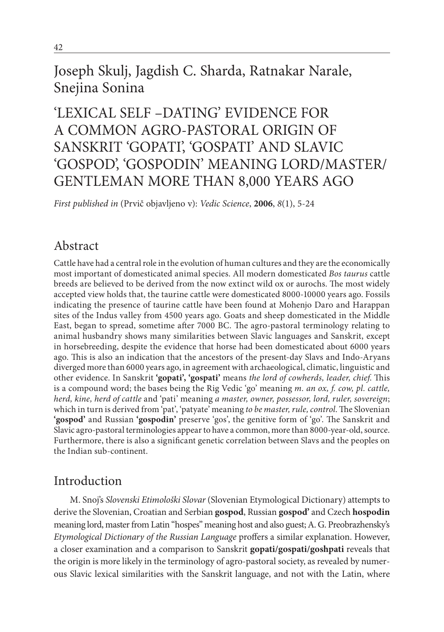## Joseph Skulj, Jagdish C. Sharda, Ratnakar Narale, Snejina Sonina

# 'LEXICAL SELF –DATING' EVIDENCE FOR A COMMON AGRO-PASTORAL ORIGIN OF SANSKRIT 'GOPATI', 'GOSPATI' AND SLAVIC 'GOSPOD', 'GOSPODIN' MEANING LORD/MASTER/ GENTLEMAN MORE THAN 8,000 YEARS AGO

*First published in* (Prvič objavljeno v): *Vedic Science*, **2006**, *8*(1), 5-24

## Abstract

Cattle have had a central role in the evolution of human cultures and they are the economically most important of domesticated animal species. All modern domesticated *Bos taurus* cattle breeds are believed to be derived from the now extinct wild ox or aurochs. The most widely accepted view holds that, the taurine cattle were domesticated 8000-10000 years ago. Fossils indicating the presence of taurine cattle have been found at Mohenjo Daro and Harappan sites of the Indus valley from 4500 years ago. Goats and sheep domesticated in the Middle East, began to spread, sometime after 7000 BC. The agro-pastoral terminology relating to animal husbandry shows many similarities between Slavic languages and Sanskrit, except in horsebreeding, despite the evidence that horse had been domesticated about 6000 years ago. This is also an indication that the ancestors of the present-day Slavs and Indo-Aryans diverged more than 6000 years ago, in agreement with archaeological, climatic, linguistic and other evidence. In Sanskrit **'gopati', 'gospati'** means *the lord of cowherds, leader, chief*. This is a compound word; the bases being the Rig Vedic 'go' meaning *m. an ox, f. cow, pl. cattle, herd, kine, herd of cattle* and 'pati' meaning *a master, owner, possessor, lord, ruler, sovereign*; which in turn is derived from 'pat', 'patyate' meaning *to be master, rule, control*. The Slovenian **'gospod'** and Russian **'gospodin'** preserve 'gos', the genitive form of 'go'. The Sanskrit and Slavic agro-pastoral terminologies appear to have a common, more than 8000-year-old, source. Furthermore, there is also a significant genetic correlation between Slavs and the peoples on the Indian sub-continent.

## Introduction

M. Snoj's *Slovenski Etimološki Slovar* (Slovenian Etymological Dictionary) attempts to derive the Slovenian, Croatian and Serbian **gospod**, Russian **gospod'** and Czech **hospodin** meaning lord, master from Latin "hospes" meaning host and also guest; A. G. Preobrazhensky's *Etymological Dictionary of the Russian Language* proffers a similar explanation. However, a closer examination and a comparison to Sanskrit **gopati/gospati/goshpati** reveals that the origin is more likely in the terminology of agro-pastoral society, as revealed by numerous Slavic lexical similarities with the Sanskrit language, and not with the Latin, where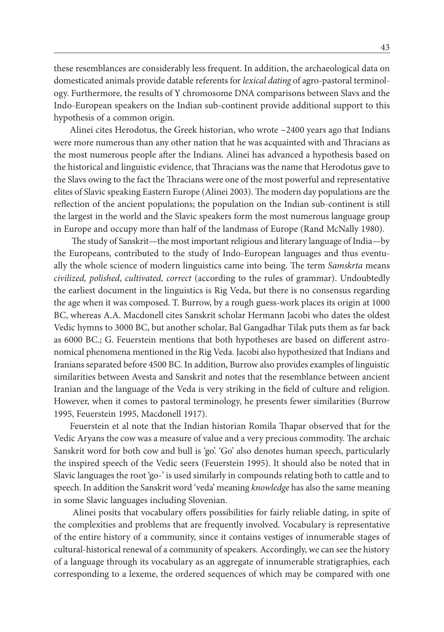these resemblances are considerably less frequent. In addition, the archaeological data on domesticated animals provide datable referents for *lexical dating* of agro-pastoral terminology. Furthermore, the results of Y chromosome DNA comparisons between Slavs and the Indo-European speakers on the Indian sub-continent provide additional support to this hypothesis of a common origin.

Alinei cites Herodotus, the Greek historian, who wrote ~2400 years ago that Indians were more numerous than any other nation that he was acquainted with and Thracians as the most numerous people after the Indians. Alinei has advanced a hypothesis based on the historical and linguistic evidence, that Thracians was the name that Herodotus gave to the Slavs owing to the fact the Thracians were one of the most powerful and representative elites of Slavic speaking Eastern Europe (Alinei 2003). The modern day populations are the reflection of the ancient populations; the population on the Indian sub-continent is still the largest in the world and the Slavic speakers form the most numerous language group in Europe and occupy more than half of the landmass of Europe (Rand McNally 1980).

The study of Sanskrit—the most important religious and literary language of India—by the Europeans, contributed to the study of Indo-European languages and thus eventually the whole science of modern linguistics came into being. The term *Samskrta* means *civilized, polished*, *cultivated, correct* (according to the rules of grammar). Undoubtedly the earliest document in the linguistics is Rig Veda, but there is no consensus regarding the age when it was composed. T. Burrow, by a rough guess-work places its origin at 1000 BC, whereas A.A. Macdonell cites Sanskrit scholar Hermann Jacobi who dates the oldest Vedic hymns to 3000 BC, but another scholar, Bal Gangadhar Tilak puts them as far back as 6000 BC.; G. Feuerstein mentions that both hypotheses are based on different astronomical phenomena mentioned in the Rig Veda. Jacobi also hypothesized that Indians and Iranians separated before 4500 BC. In addition, Burrow also provides examples of linguistic similarities between Avesta and Sanskrit and notes that the resemblance between ancient Iranian and the language of the Veda is very striking in the field of culture and religion. However, when it comes to pastoral terminology, he presents fewer similarities (Burrow 1995, Feuerstein 1995, Macdonell 1917).

Feuerstein et al note that the Indian historian Romila Thapar observed that for the Vedic Aryans the cow was a measure of value and a very precious commodity. The archaic Sanskrit word for both cow and bull is 'go'. 'Go' also denotes human speech, particularly the inspired speech of the Vedic seers (Feuerstein 1995). It should also be noted that in Slavic languages the root 'go-' is used similarly in compounds relating both to cattle and to speech. In addition the Sanskrit word 'veda' meaning *knowledge* has also the same meaning in some Slavic languages including Slovenian.

 Alinei posits that vocabulary offers possibilities for fairly reliable dating, in spite of the complexities and problems that are frequently involved. Vocabulary is representative of the entire history of a community, since it contains vestiges of innumerable stages of cultural-historical renewal of a community of speakers. Accordingly, we can see the history of a language through its vocabulary as an aggregate of innumerable stratigraphies, each corresponding to a lexeme, the ordered sequences of which may be compared with one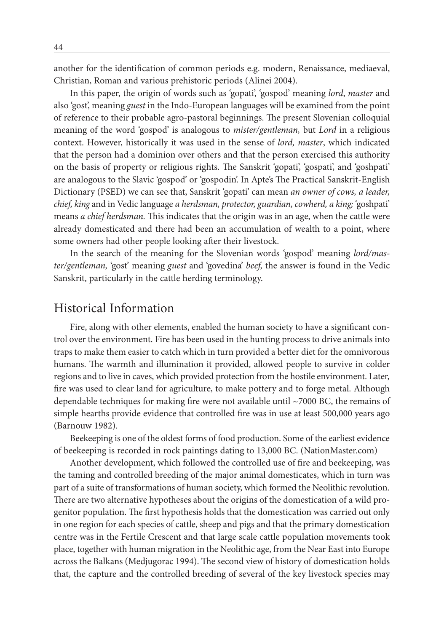another for the identification of common periods e.g. modern, Renaissance, mediaeval, Christian, Roman and various prehistoric periods (Alinei 2004).

In this paper, the origin of words such as 'gopati', 'gospod' meaning *lord*, *master* and also 'gost', meaning *guest* in the Indo-European languages will be examined from the point of reference to their probable agro-pastoral beginnings. The present Slovenian colloquial meaning of the word 'gospod' is analogous to *mister/gentleman,* but *Lord* in a religious context. However, historically it was used in the sense of *lord, master*, which indicated that the person had a dominion over others and that the person exercised this authority on the basis of property or religious rights. The Sanskrit 'gopati', 'gospati', and 'goshpati' are analogous to the Slavic 'gospod' or 'gospodin'. In Apte's The Practical Sanskrit-English Dictionary (PSED) we can see that, Sanskrit 'gopati' can mean *an owner of cows, a leader, chief, king* and in Vedic language *a herdsman, protector, guardian, cowherd, a king;* 'goshpati' means *a chief herdsman.* This indicates that the origin was in an age, when the cattle were already domesticated and there had been an accumulation of wealth to a point, where some owners had other people looking after their livestock.

In the search of the meaning for the Slovenian words 'gospod' meaning *lord/master/gentleman,* 'gost' meaning *guest* and 'govedina' *beef,* the answer is found in the Vedic Sanskrit, particularly in the cattle herding terminology.

## Historical Information

Fire, along with other elements, enabled the human society to have a significant control over the environment. Fire has been used in the hunting process to drive animals into traps to make them easier to catch which in turn provided a better diet for the omnivorous humans. The warmth and illumination it provided, allowed people to survive in colder regions and to live in caves, which provided protection from the hostile environment. Later, fire was used to clear land for agriculture, to make pottery and to forge metal. Although dependable techniques for making fire were not available until  $\sim$ 7000 BC, the remains of simple hearths provide evidence that controlled fire was in use at least 500,000 years ago (Barnouw 1982).

Beekeeping is one of the oldest forms of food production. Some of the earliest evidence of beekeeping is recorded in rock paintings dating to 13,000 BC. (NationMaster.com)

Another development, which followed the controlled use of fire and beekeeping, was the taming and controlled breeding of the major animal domesticates, which in turn was part of a suite of transformations of human society, which formed the Neolithic revolution. There are two alternative hypotheses about the origins of the domestication of a wild progenitor population. The first hypothesis holds that the domestication was carried out only in one region for each species of cattle, sheep and pigs and that the primary domestication centre was in the Fertile Crescent and that large scale cattle population movements took place, together with human migration in the Neolithic age, from the Near East into Europe across the Balkans (Medjugorac 1994). The second view of history of domestication holds that, the capture and the controlled breeding of several of the key livestock species may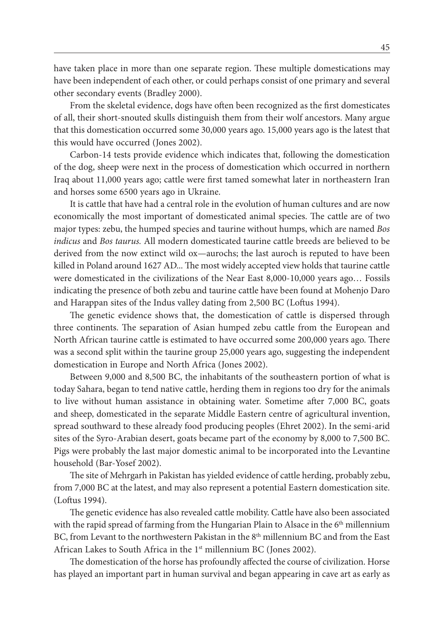have taken place in more than one separate region. These multiple domestications may have been independent of each other, or could perhaps consist of one primary and several other secondary events (Bradley 2000).

From the skeletal evidence, dogs have often been recognized as the first domesticates of all, their short-snouted skulls distinguish them from their wolf ancestors. Many argue that this domestication occurred some 30,000 years ago. 15,000 years ago is the latest that this would have occurred (Jones 2002).

Carbon-14 tests provide evidence which indicates that, following the domestication of the dog, sheep were next in the process of domestication which occurred in northern Iraq about 11,000 years ago; cattle were first tamed somewhat later in northeastern Iran and horses some 6500 years ago in Ukraine.

It is cattle that have had a central role in the evolution of human cultures and are now economically the most important of domesticated animal species. The cattle are of two major types: zebu, the humped species and taurine without humps, which are named *Bos indicus* and *Bos taurus.* All modern domesticated taurine cattle breeds are believed to be derived from the now extinct wild ox—aurochs; the last auroch is reputed to have been killed in Poland around 1627 AD... The most widely accepted view holds that taurine cattle were domesticated in the civilizations of the Near East 8,000-10,000 years ago… Fossils indicating the presence of both zebu and taurine cattle have been found at Mohenjo Daro and Harappan sites of the Indus valley dating from 2,500 BC (Loftus 1994).

The genetic evidence shows that, the domestication of cattle is dispersed through three continents. The separation of Asian humped zebu cattle from the European and North African taurine cattle is estimated to have occurred some 200,000 years ago. There was a second split within the taurine group 25,000 years ago, suggesting the independent domestication in Europe and North Africa (Jones 2002).

Between 9,000 and 8,500 BC, the inhabitants of the southeastern portion of what is today Sahara, began to tend native cattle, herding them in regions too dry for the animals to live without human assistance in obtaining water. Sometime after 7,000 BC, goats and sheep, domesticated in the separate Middle Eastern centre of agricultural invention, spread southward to these already food producing peoples (Ehret 2002). In the semi-arid sites of the Syro-Arabian desert, goats became part of the economy by 8,000 to 7,500 BC. Pigs were probably the last major domestic animal to be incorporated into the Levantine household (Bar-Yosef 2002).

The site of Mehrgarh in Pakistan has yielded evidence of cattle herding, probably zebu, from 7,000 BC at the latest, and may also represent a potential Eastern domestication site. (Loftus 1994).

The genetic evidence has also revealed cattle mobility. Cattle have also been associated with the rapid spread of farming from the Hungarian Plain to Alsace in the 6<sup>th</sup> millennium BC, from Levant to the northwestern Pakistan in the 8<sup>th</sup> millennium BC and from the East African Lakes to South Africa in the 1<sup>st</sup> millennium BC (Jones 2002).

The domestication of the horse has profoundly affected the course of civilization. Horse has played an important part in human survival and began appearing in cave art as early as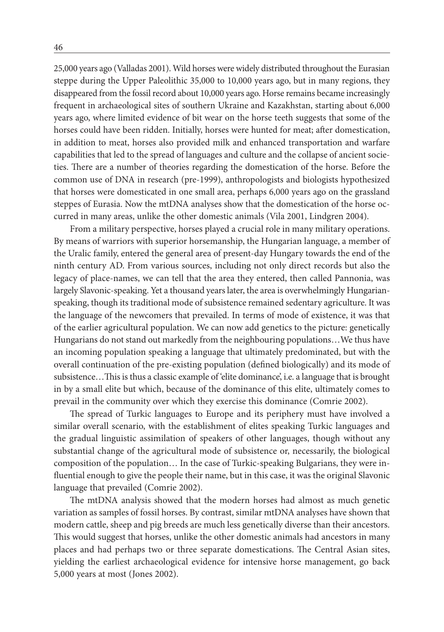25,000 years ago (Valladas 2001). Wild horses were widely distributed throughout the Eurasian steppe during the Upper Paleolithic 35,000 to 10,000 years ago, but in many regions, they disappeared from the fossil record about 10,000 years ago. Horse remains became increasingly frequent in archaeological sites of southern Ukraine and Kazakhstan, starting about 6,000 years ago, where limited evidence of bit wear on the horse teeth suggests that some of the horses could have been ridden. Initially, horses were hunted for meat; after domestication, in addition to meat, horses also provided milk and enhanced transportation and warfare capabilities that led to the spread of languages and culture and the collapse of ancient societies. There are a number of theories regarding the domestication of the horse. Before the common use of DNA in research (pre-1999), anthropologists and biologists hypothesized that horses were domesticated in one small area, perhaps 6,000 years ago on the grassland steppes of Eurasia. Now the mtDNA analyses show that the domestication of the horse occurred in many areas, unlike the other domestic animals (Vila 2001, Lindgren 2004).

From a military perspective, horses played a crucial role in many military operations. By means of warriors with superior horsemanship, the Hungarian language, a member of the Uralic family, entered the general area of present-day Hungary towards the end of the ninth century AD. From various sources, including not only direct records but also the legacy of place-names, we can tell that the area they entered, then called Pannonia, was largely Slavonic-speaking. Yet a thousand years later, the area is overwhelmingly Hungarianspeaking, though its traditional mode of subsistence remained sedentary agriculture. It was the language of the newcomers that prevailed. In terms of mode of existence, it was that of the earlier agricultural population. We can now add genetics to the picture: genetically Hungarians do not stand out markedly from the neighbouring populations…We thus have an incoming population speaking a language that ultimately predominated, but with the overall continuation of the pre-existing population (defined biologically) and its mode of subsistence…This is thus a classic example of 'elite dominance', i.e. a language that is brought in by a small elite but which, because of the dominance of this elite, ultimately comes to prevail in the community over which they exercise this dominance (Comrie 2002).

The spread of Turkic languages to Europe and its periphery must have involved a similar overall scenario, with the establishment of elites speaking Turkic languages and the gradual linguistic assimilation of speakers of other languages, though without any substantial change of the agricultural mode of subsistence or, necessarily, the biological composition of the population… In the case of Turkic-speaking Bulgarians, they were influential enough to give the people their name, but in this case, it was the original Slavonic language that prevailed (Comrie 2002).

The mtDNA analysis showed that the modern horses had almost as much genetic variation as samples of fossil horses. By contrast, similar mtDNA analyses have shown that modern cattle, sheep and pig breeds are much less genetically diverse than their ancestors. This would suggest that horses, unlike the other domestic animals had ancestors in many places and had perhaps two or three separate domestications. The Central Asian sites, yielding the earliest archaeological evidence for intensive horse management, go back 5,000 years at most (Jones 2002).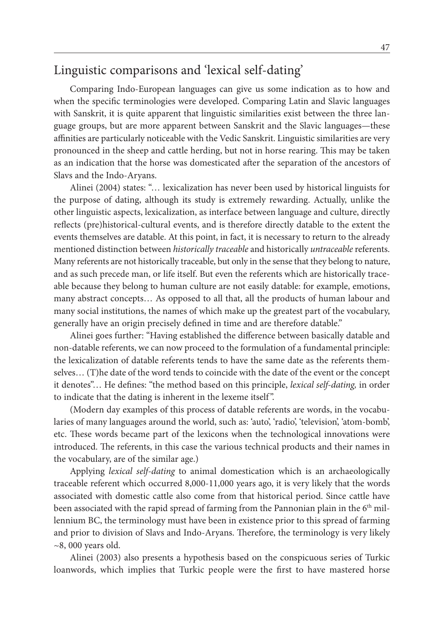## Linguistic comparisons and 'lexical self-dating'

Comparing Indo-European languages can give us some indication as to how and when the specific terminologies were developed. Comparing Latin and Slavic languages with Sanskrit, it is quite apparent that linguistic similarities exist between the three language groups, but are more apparent between Sanskrit and the Slavic languages—these affinities are particularly noticeable with the Vedic Sanskrit. Linguistic similarities are very pronounced in the sheep and cattle herding, but not in horse rearing. This may be taken as an indication that the horse was domesticated after the separation of the ancestors of Slavs and the Indo-Aryans.

Alinei (2004) states: "… lexicalization has never been used by historical linguists for the purpose of dating, although its study is extremely rewarding. Actually, unlike the other linguistic aspects, lexicalization, as interface between language and culture, directly reflects (pre)historical-cultural events, and is therefore directly datable to the extent the events themselves are datable. At this point, in fact, it is necessary to return to the already mentioned distinction between *historically traceable* and historically *untraceable* referents. Many referents are not historically traceable, but only in the sense that they belong to nature, and as such precede man, or life itself. But even the referents which are historically traceable because they belong to human culture are not easily datable: for example, emotions, many abstract concepts… As opposed to all that, all the products of human labour and many social institutions, the names of which make up the greatest part of the vocabulary, generally have an origin precisely defined in time and are therefore datable."

Alinei goes further: "Having established the difference between basically datable and non-datable referents, we can now proceed to the formulation of a fundamental principle: the lexicalization of datable referents tends to have the same date as the referents themselves… (T)he date of the word tends to coincide with the date of the event or the concept it denotes"… He defines: "the method based on this principle, *lexical self-dating,* in order to indicate that the dating is inherent in the lexeme itself ".

(Modern day examples of this process of datable referents are words, in the vocabularies of many languages around the world, such as: 'auto', 'radio', 'television', 'atom-bomb', etc. These words became part of the lexicons when the technological innovations were introduced. The referents, in this case the various technical products and their names in the vocabulary, are of the similar age.)

Applying *lexical self-dating* to animal domestication which is an archaeologically traceable referent which occurred 8,000-11,000 years ago, it is very likely that the words associated with domestic cattle also come from that historical period. Since cattle have been associated with the rapid spread of farming from the Pannonian plain in the 6<sup>th</sup> millennium BC, the terminology must have been in existence prior to this spread of farming and prior to division of Slavs and Indo-Aryans. Therefore, the terminology is very likely  $\sim$ 8, 000 years old.

Alinei (2003) also presents a hypothesis based on the conspicuous series of Turkic loanwords, which implies that Turkic people were the first to have mastered horse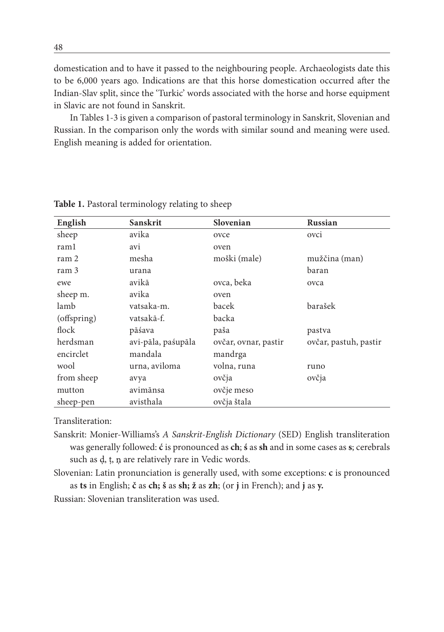domestication and to have it passed to the neighbouring people. Archaeologists date this to be 6,000 years ago. Indications are that this horse domestication occurred after the Indian-Slav split, since the 'Turkic' words associated with the horse and horse equipment in Slavic are not found in Sanskrit.

In Tables 1-3 is given a comparison of pastoral terminology in Sanskrit, Slovenian and Russian. In the comparison only the words with similar sound and meaning were used. English meaning is added for orientation.

| English     | Sanskrit           | Slovenian            | <b>Russian</b>        |
|-------------|--------------------|----------------------|-----------------------|
| sheep       | avika              | ovce                 | ovci                  |
| raml        | avi                | oven                 |                       |
| ram 2       | mesha              | moški (male)         | mužčina (man)         |
| ram 3       | urana              |                      | baran                 |
| ewe         | avikā              | ovca, beka           | ovca                  |
| sheep m.    | avika              | oven                 |                       |
| lamb        | vatsaka-m.         | bacek                | barašek               |
| (offspring) | vatsakā-f.         | backa                |                       |
| flock       | pāśava             | paša                 | pastva                |
| herdsman    | avi-pāla, paśupāla | ovčar, ovnar, pastir | ovčar, pastuh, pastir |
| encirclet   | mandala            | mandrga              |                       |
| wool        | urna, aviloma      | volna, runa          | runo                  |
| from sheep  | avya               | ovčja                | ovčja                 |
| mutton      | avimānsa           | ovčje meso           |                       |
| sheep-pen   | avisthala          | ovčja štala          |                       |

**Table 1.** Pastoral terminology relating to sheep

Transliteration:

Sanskrit: Monier-Williams's *A Sanskrit-English Dictionary* (SED) English transliteration was generally followed: **ć** is pronounced as **ch**; **ś** as **sh** and in some cases as **s**; cerebrals such as d, t, n are relatively rare in Vedic words.

Slovenian: Latin pronunciation is generally used, with some exceptions: **c** is pronounced as **ts** in English; **č** as **ch; š** as **sh; ž** as **zh**; (or **j** in French); and **j** as **y.**

Russian: Slovenian transliteration was used.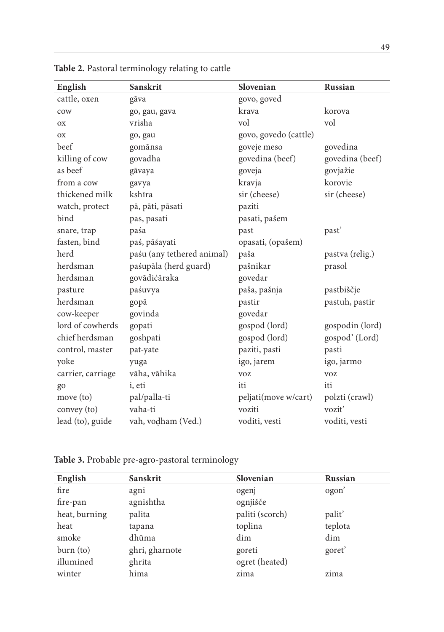| English           | Sanskrit                   | Slovenian             | Russian         |
|-------------------|----------------------------|-----------------------|-----------------|
| cattle, oxen      | gāva                       | govo, goved           |                 |
| cow               | go, gau, gava              | krava                 | korova          |
| OX                | vrisha                     | vol                   | vol             |
| <b>OX</b>         | go, gau                    | govo, govedo (cattle) |                 |
| beef              | gomānsa                    | goveje meso           | govedina        |
| killing of cow    | govadha                    | govedina (beef)       | govedina (beef) |
| as beef           | gāvaya                     | goveja                | govjažie        |
| from a cow        | gavya                      | kravja                | korovie         |
| thickened milk    | kshīra                     | sir (cheese)          | sir (cheese)    |
| watch, protect    | pā, pāti, pāsati           | paziti                |                 |
| bind              | pas, pasati                | pasati, pašem         |                 |
| snare, trap       | paśa                       | past                  | past'           |
| fasten, bind      | paś, pāśayati              | opasati, (opašem)     |                 |
| herd              | paśu (any tethered animal) | paša                  | pastva (relig.) |
| herdsman          | paśupāla (herd guard)      | pašnikar              | prasol          |
| herdsman          | govādićāraka               | govedar               |                 |
| pasture           | paśuvya                    | paša, pašnja          | pastbiščje      |
| herdsman          | gopā                       | pastir                | pastuh, pastir  |
| cow-keeper        | govinda                    | govedar               |                 |
| lord of cowherds  | gopati                     | gospod (lord)         | gospodin (lord) |
| chief herdsman    | goshpati                   | gospod (lord)         | gospod' (Lord)  |
| control, master   | pat-yate                   | paziti, pasti         | pasti           |
| yoke              | yuga                       | igo, jarem            | igo, jarmo      |
| carrier, carriage | vāha, vāhika               | <b>VOZ</b>            | <b>VOZ</b>      |
| go                | i, eti                     | iti                   | iti             |
| move (to)         | pal/palla-ti               | peljati(move w/cart)  | polzti (crawl)  |
| convey (to)       | vaha-ti                    | voziti                | voziť           |
| lead (to), guide  | vah, vodham (Ved.)         | voditi, vesti         | voditi, vesti   |

**Table 2.** Pastoral terminology relating to cattle

**Table 3.** Probable pre-agro-pastoral terminology

| English       | <b>Sanskrit</b> | Slovenian       | <b>Russian</b>    |
|---------------|-----------------|-----------------|-------------------|
| fire          | agni            | ogenj           | ogon <sup>'</sup> |
| fire-pan      | agnishtha       | ognjišče        |                   |
| heat, burning | palita          | paliti (scorch) | palit'            |
| heat          | tapana          | toplina         | teplota           |
| smoke         | dhūma           | dim             | dim               |
| burn (to)     | ghri, gharnote  | goreti          | goret'            |
| illumined     | ghrita          | ogret (heated)  |                   |
| winter        | hima            | zima            | zima              |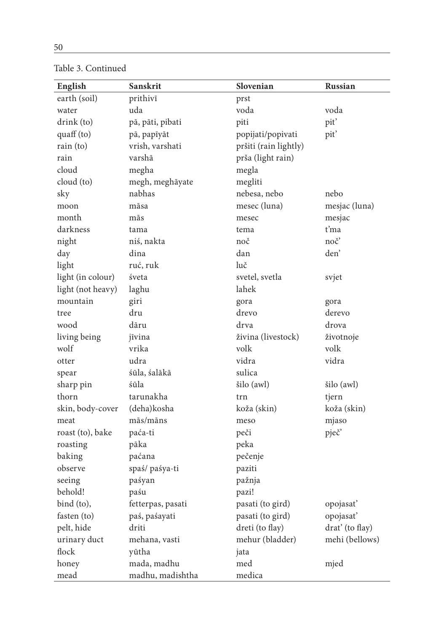| English           | Sanskrit          | Slovenian             | Russian         |
|-------------------|-------------------|-----------------------|-----------------|
| earth (soil)      | prithivī          | prst                  |                 |
| water             | uda               | voda                  | voda            |
| drink (to)        | pā, pāti, pibati  | piti                  | pit'            |
| quaff(to)         | pā, papīyāt       | popijati/popivati     | pit'            |
| rain (to)         | vrish, varshati   | pršiti (rain lightly) |                 |
| rain              | varshā            | prša (light rain)     |                 |
| cloud             | megha             | megla                 |                 |
| cloud (to)        | megh, meghāyate   | megliti               |                 |
| sky               | nabhas            | nebesa, nebo          | nebo            |
| moon              | māsa              | mesec (luna)          | mesjac (luna)   |
| month             | mās               | mesec                 | mesjac          |
| darkness          | tama              | tema                  | ťma             |
| night             | niś, nakta        | noč                   | noč'            |
| day               | dina              | dan                   | den'            |
| light             | ruć, ruk          | luč                   |                 |
| light (in colour) | śveta             | svetel, svetla        | svjet           |
| light (not heavy) | laghu             | lahek                 |                 |
| mountain          | giri              | gora                  | gora            |
| tree              | dru               | drevo                 | derevo          |
| wood              | dāru              | drva                  | drova           |
| living being      | jīvina            | živina (livestock)    | životnoje       |
| wolf              | vrika             | volk                  | volk            |
| otter             | udra              | vidra                 | vidra           |
| spear             | śūla, śalākā      | sulica                |                 |
| sharp pin         | śūla              | šilo (awl)            | šilo (awl)      |
| thorn             | tarunakha         | trn                   | tjern           |
| skin, body-cover  | (deha) kosha      | koža (skin)           | koža (skin)     |
| meat              | mās/māns          | meso                  | mjaso           |
| roast (to), bake  | paća-ti           | peči                  | pječ'           |
| roasting          | pāka              | peka                  |                 |
| baking            | paćana            | pečenje               |                 |
| observe           | spaś/ paśya-ti    | paziti                |                 |
| seeing            | paśyan            | pažnja                |                 |
| behold!           | paśu              | pazi!                 |                 |
| bind (to),        | fetterpas, pasati | pasati (to gird)      | opojasať        |
| fasten (to)       | paś, paśayati     | pasati (to gird)      | opojasať        |
| pelt, hide        | driti             | dreti (to flay)       | drat' (to flay) |
| urinary duct      | mehana, vasti     | mehur (bladder)       | mehi (bellows)  |
| flock             | yūtha             | jata                  |                 |
| honey             | mada, madhu       | med                   | mjed            |
| mead              | madhu, madishtha  | medica                |                 |

Table 3. Continued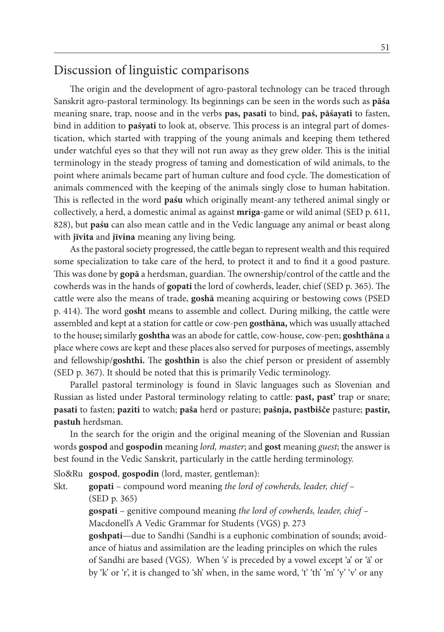## Discussion of linguistic comparisons

The origin and the development of agro-pastoral technology can be traced through Sanskrit agro-pastoral terminology. Its beginnings can be seen in the words such as **pāśa**  meaning snare, trap, noose and in the verbs **pas, pasati** to bind, **paś, pāśayati** to fasten, bind in addition to **paśyati** to look at, observe. This process is an integral part of domestication, which started with trapping of the young animals and keeping them tethered under watchful eyes so that they will not run away as they grew older. This is the initial terminology in the steady progress of taming and domestication of wild animals, to the point where animals became part of human culture and food cycle. The domestication of animals commenced with the keeping of the animals singly close to human habitation. This is reflected in the word **paśu** which originally meant-any tethered animal singly or collectively, a herd, a domestic animal as against **mriga**-game or wild animal (SED p. 611, 828), but **paśu** can also mean cattle and in the Vedic language any animal or beast along with **jīvita** and **jīvina** meaning any living being.

As the pastoral society progressed, the cattle began to represent wealth and this required some specialization to take care of the herd, to protect it and to find it a good pasture. This was done by **gopā** a herdsman, guardian. The ownership/control of the cattle and the cowherds was in the hands of **gopati** the lord of cowherds, leader, chief (SED p. 365). The cattle were also the means of trade, **goshā** meaning acquiring or bestowing cows (PSED p. 414). The word g**osht** means to assemble and collect. During milking, the cattle were assembled and kept at a station for cattle or cow-pen **gosthāna,** which was usually attached to the house**;** similarly **goshtha** was an abode for cattle, cow-house, cow-pen; **goshthāna** a place where cows are kept and these places also served for purposes of meetings, assembly and fellowship/**goshthi.** The **goshthin** is also the chief person or president of assembly (SED p. 367). It should be noted that this is primarily Vedic terminology.

Parallel pastoral terminology is found in Slavic languages such as Slovenian and Russian as listed under Pastoral terminology relating to cattle: **past, past'** trap or snare; **pasati** to fasten; **paziti** to watch; **paša** herd or pasture; **pašnja, pastbišče** pasture; **pastir, pastuh** herdsman.

In the search for the origin and the original meaning of the Slovenian and Russian words **gospod** and **gospodin** meaning *lord, master*; and **gost** meaning *guest*; the answer is best found in the Vedic Sanskrit, particularly in the cattle herding terminology.

Slo&Ru **gospod**, **gospodin** (lord, master, gentleman):

Skt. **gopati** – compound word meaning *the lord of cowherds, leader, chief* – (SED p. 365)

> **gospati** – genitive compound meaning *the lord of cowherds, leader, chief* – Macdonell's A Vedic Grammar for Students (VGS) p. 273

**goshpati**—due to Sandhi (Sandhi is a euphonic combination of sounds; avoidance of hiatus and assimilation are the leading principles on which the rules of Sandhi are based (VGS). When 's' is preceded by a vowel except 'a' or 'ā' or by 'k' or 'r', it is changed to 'sh' when, in the same word, 't' th' 'm' 'y' 'v' or any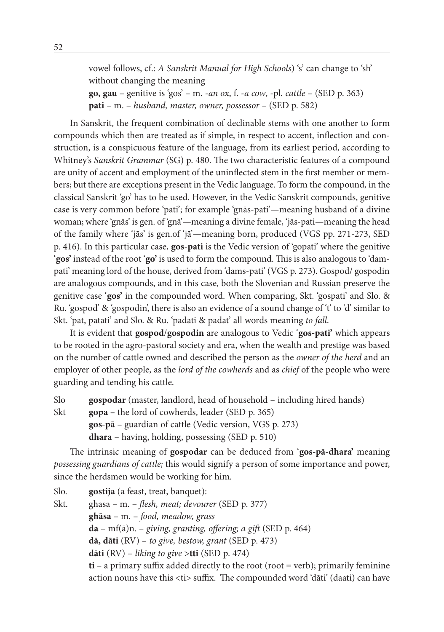vowel follows, cf.: *A Sanskrit Manual for High Schools*) 's' can change to 'sh' without changing the meaning **go, gau** – genitive is 'gos' – m. -*an ox*, f. -*a cow*, -pl*. cattle* – (SED p. 363) **pati** – m. – *husband, master, owner, possessor* – (SED p. 582)

In Sanskrit, the frequent combination of declinable stems with one another to form compounds which then are treated as if simple, in respect to accent, inflection and construction, is a conspicuous feature of the language, from its earliest period, according to Whitney's *Sanskrit Grammar* (SG) p. 480. The two characteristic features of a compound are unity of accent and employment of the uninflected stem in the first member or members; but there are exceptions present in the Vedic language. To form the compound, in the classical Sanskrit 'go' has to be used. However, in the Vedic Sanskrit compounds, genitive case is very common before 'pati'; for example 'gnās-pati'—meaning husband of a divine woman; where 'gnās' is gen. of 'gnā'—meaning a divine female, 'jās-pati—meaning the head of the family where 'jās' is gen.of 'jā'—meaning born, produced (VGS pp. 271-273, SED p. 416). In this particular case, **gos**-**pati** is the Vedic version of 'gopati' where the genitive '**gos'** instead of the root '**go'** is used to form the compound. This is also analogous to 'dampati' meaning lord of the house, derived from 'dams-pati' (VGS p. 273). Gospod/ gospodin are analogous compounds, and in this case, both the Slovenian and Russian preserve the genitive case '**gos'** in the compounded word. When comparing, Skt. 'gospati' and Slo. & Ru. 'gospod' & 'gospodin', there is also an evidence of a sound change of 't' to 'd' similar to Skt. 'pat, patati' and Slo. & Ru. 'padati & padat' all words meaning *to fall*.

It is evident that **gospod**/**gospodin** are analogous to Vedic '**gos-pati'** which appears to be rooted in the agro-pastoral society and era, when the wealth and prestige was based on the number of cattle owned and described the person as the *owner of the herd* and an employer of other people, as the *lord of the cowherds* and as *chief* of the people who were guarding and tending his cattle.

Slo **gospodar** (master, landlord, head of household – including hired hands) Skt **gopa –** the lord of cowherds, leader (SED p. 365)

**gos-pā –** guardian of cattle (Vedic version, VGS p. 273)

**dhara** – having, holding, possessing (SED p. 510)

The intrinsic meaning of **gospodar** can be deduced from '**gos-pā-dhara'** meaning *possessing guardians of cattle;* this would signify a person of some importance and power, since the herdsmen would be working for him*.*

Slo. **gostija** (a feast, treat, banquet): Skt. ghasa – m. – *flesh, meat; devourer* (SED p. 377) **ghāsa** – m. – *food, meadow, grass* **da** – mf(ā)n. – *giving, granting, offering; a gift* (SED p. 464) **dā, dāti** (RV) – *to give, bestow, grant* (SED p. 473) **dāti** (RV) – *liking to give* >**tti** (SED p. 474) **ti** – a primary suffix added directly to the root (root = verb); primarily feminine action nouns have this <ti> suffix. The compounded word 'dāti' (daati) can have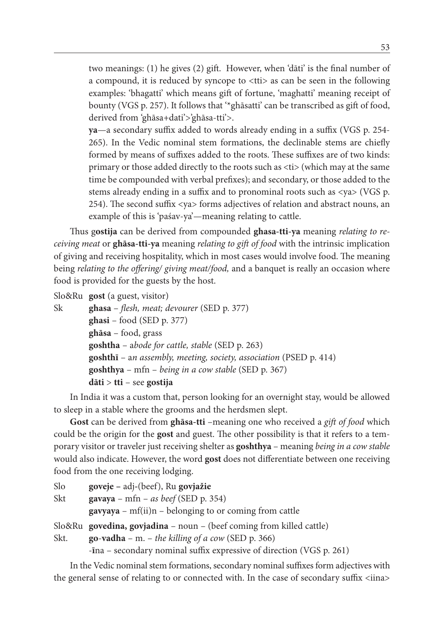two meanings: (1) he gives (2) gift. However, when 'dāti' is the final number of a compound, it is reduced by syncope to <tti> as can be seen in the following examples: 'bhagatti' which means gift of fortune, 'maghatti' meaning receipt of bounty (VGS p. 257). It follows that '\*ghāsatti' can be transcribed as gift of food, derived from 'ghāsa+dati'>'ghāsa-tti'>.

**ya**—a secondary suffix added to words already ending in a suffix (VGS p. 254- 265). In the Vedic nominal stem formations, the declinable stems are chiefly formed by means of suffixes added to the roots. These suffixes are of two kinds: primary or those added directly to the roots such as <ti> (which may at the same time be compounded with verbal prefixes); and secondary, or those added to the stems already ending in a suffix and to pronominal roots such as <ya> (VGS p. 254). The second suffix <ya> forms adjectives of relation and abstract nouns, an example of this is 'paśav-ya'—meaning relating to cattle.

Thus g**ostija** can be derived from compounded **ghasa-tti-ya** meaning *relating to receiving meat* or **ghāsa-tti-ya** meaning *relating to gift of food* with the intrinsic implication of giving and receiving hospitality, which in most cases would involve food. The meaning being *relating to the offering/ giving meat/food,* and a banquet is really an occasion where food is provided for the guests by the host.

Slo&Ru **gost** (a guest, visitor)

| $ghasi - food (SED p. 377)$<br>$ghāsa - food, grass$<br><b>goshtha</b> – abode for cattle, stable (SED $p$ , 263)<br>$goshthya - mfn - being in a cow stable (SED p. 367)$ | Sk | ghasa - flesh, meat; devourer (SED p. 377)                         |
|----------------------------------------------------------------------------------------------------------------------------------------------------------------------------|----|--------------------------------------------------------------------|
|                                                                                                                                                                            |    |                                                                    |
|                                                                                                                                                                            |    |                                                                    |
|                                                                                                                                                                            |    |                                                                    |
|                                                                                                                                                                            |    | goshthi - an assembly, meeting, society, association (PSED p. 414) |
|                                                                                                                                                                            |    |                                                                    |
|                                                                                                                                                                            |    | $dāti > tti - see gostija$                                         |

In India it was a custom that, person looking for an overnight stay, would be allowed to sleep in a stable where the grooms and the herdsmen slept.

**Gost** can be derived from **ghāsa-tti** –meaning one who received a *gift of food* which could be the origin for the **gost** and guest. The other possibility is that it refers to a temporary visitor or traveler just receiving shelter as **goshthya** – meaning *being in a cow stable* would also indicate. However, the word **gost** does not differentiate between one receiving food from the one receiving lodging.

```
Slo goveje – adj-(beef), Ru govjažie
Skt gavaya – mfn – as beef (SED p. 354)
        gavyaya – mf(ii)n – belonging to or coming from cattle
Slo&Ru govedina, govjadina – noun – (beef coming from killed cattle)
Skt. go-vadha – m. – the killing of a cow (SED p. 366)
```
-**ī**na – secondary nominal suffix expressive of direction (VGS p. 261)

In the Vedic nominal stem formations, secondary nominal suffixes form adjectives with the general sense of relating to or connected with. In the case of secondary suffix <iina>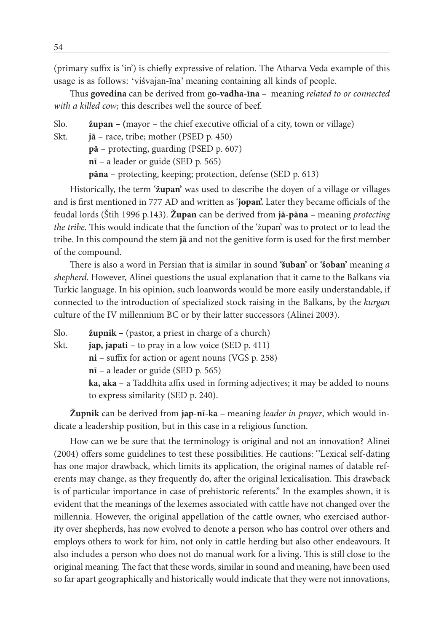(primary suffix is 'in') is chiefly expressive of relation. The Atharva Veda example of this usage is as follows: 'viśvajan-īna' meaning containing all kinds of people.

Thus **govedina** can be derived from g**o-vadha-īna –** meaning *related to or connected with a killed cow;* this describes well the source of beef.

Slo. **župan – (**mayor – the chief executive official of a city, town or village) Skt. **jā** – race, tribe; mother (PSED p. 450) **pā** – protecting, guarding (PSED p. 607) **nī** – a leader or guide (SED p. 565) **pāna** – protecting, keeping; protection, defense (SED p. 613)

Historically, the term '**župan'** was used to describe the doyen of a village or villages and is first mentioned in 777 AD and written as '**jopan'.** Later they became officials of the feudal lords (Štih 1996 p.143). **Župan** can be derived from **jā-pāna –** meaning *protecting the tribe.* This would indicate that the function of the 'župan' was to protect or to lead the tribe. In this compound the stem **jā** and not the genitive form is used for the first member of the compound.

There is also a word in Persian that is similar in sound **'šuban'** or **'šoban'** meaning *a shepherd.* However, Alinei questions the usual explanation that it came to the Balkans via Turkic language. In his opinion, such loanwords would be more easily understandable, if connected to the introduction of specialized stock raising in the Balkans, by the *kurgan* culture of the IV millennium BC or by their latter successors (Alinei 2003).

| Slo. | $\dot{z}$ upnik – (pastor, a priest in charge of a church)                      |
|------|---------------------------------------------------------------------------------|
| Skt. | $\mathbf{i}$ ap, $\mathbf{j}$ apati – to pray in a low voice (SED p. 411)       |
|      | $ni$ – suffix for action or agent nouns (VGS p. 258)                            |
|      | $n\bar{i}$ – a leader or guide (SED p. 565)                                     |
|      | ka, aka – a Taddhita affix used in forming adjectives; it may be added to nouns |
|      | to express similarity (SED p. 240).                                             |
|      |                                                                                 |

**Župnik** can be derived from **jap-nī-ka –** meaning *leader in prayer*, which would indicate a leadership position, but in this case in a religious function.

How can we be sure that the terminology is original and not an innovation? Alinei (2004) offers some guidelines to test these possibilities. He cautions: ''Lexical self-dating has one major drawback, which limits its application, the original names of datable referents may change, as they frequently do, after the original lexicalisation. This drawback is of particular importance in case of prehistoric referents.'' In the examples shown, it is evident that the meanings of the lexemes associated with cattle have not changed over the millennia. However, the original appellation of the cattle owner, who exercised authority over shepherds, has now evolved to denote a person who has control over others and employs others to work for him, not only in cattle herding but also other endeavours. It also includes a person who does not do manual work for a living. This is still close to the original meaning. The fact that these words, similar in sound and meaning, have been used so far apart geographically and historically would indicate that they were not innovations,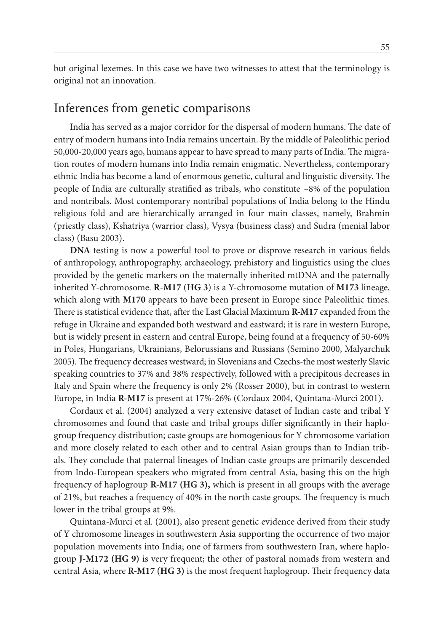but original lexemes. In this case we have two witnesses to attest that the terminology is original not an innovation.

#### Inferences from genetic comparisons

India has served as a major corridor for the dispersal of modern humans. The date of entry of modern humans into India remains uncertain. By the middle of Paleolithic period 50,000-20,000 years ago, humans appear to have spread to many parts of India. The migration routes of modern humans into India remain enigmatic. Nevertheless, contemporary ethnic India has become a land of enormous genetic, cultural and linguistic diversity. The people of India are culturally stratified as tribals, who constitute  $\sim 8\%$  of the population and nontribals. Most contemporary nontribal populations of India belong to the Hindu religious fold and are hierarchically arranged in four main classes, namely, Brahmin (priestly class), Kshatriya (warrior class), Vysya (business class) and Sudra (menial labor class) (Basu 2003).

**DNA** testing is now a powerful tool to prove or disprove research in various fields of anthropology, anthropography, archaeology, prehistory and linguistics using the clues provided by the genetic markers on the maternally inherited mtDNA and the paternally inherited Y-chromosome. **R**-**M17** (**HG 3**) is a Y-chromosome mutation of **M173** lineage, which along with **M170** appears to have been present in Europe since Paleolithic times. There is statistical evidence that, after the Last Glacial Maximum **R-M17** expanded from the refuge in Ukraine and expanded both westward and eastward; it is rare in western Europe, but is widely present in eastern and central Europe, being found at a frequency of 50-60% in Poles, Hungarians, Ukrainians, Belorussians and Russians (Semino 2000, Malyarchuk 2005). The frequency decreases westward; in Slovenians and Czechs-the most westerly Slavic speaking countries to 37% and 38% respectively, followed with a precipitous decreases in Italy and Spain where the frequency is only 2% (Rosser 2000), but in contrast to western Europe, in India **R-M17** is present at 17%-26% (Cordaux 2004, Quintana-Murci 2001).

Cordaux et al. (2004) analyzed a very extensive dataset of Indian caste and tribal Y chromosomes and found that caste and tribal groups differ significantly in their haplogroup frequency distribution; caste groups are homogenious for Y chromosome variation and more closely related to each other and to central Asian groups than to Indian tribals. They conclude that paternal lineages of Indian caste groups are primarily descended from Indo-European speakers who migrated from central Asia, basing this on the high frequency of haplogroup **R-M17 (HG 3),** which is present in all groups with the average of 21%, but reaches a frequency of 40% in the north caste groups. The frequency is much lower in the tribal groups at 9%.

Quintana-Murci et al. (2001), also present genetic evidence derived from their study of Y chromosome lineages in southwestern Asia supporting the occurrence of two major population movements into India; one of farmers from southwestern Iran, where haplogroup **J-M172 (HG 9)** is very frequent; the other of pastoral nomads from western and central Asia, where **R-M17 (HG 3)** is the most frequent haplogroup. Their frequency data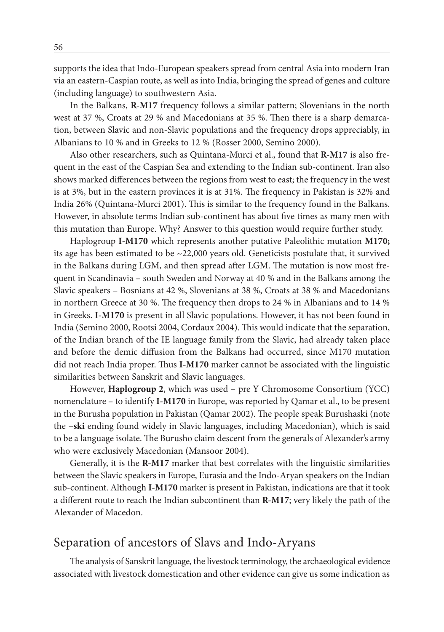supports the idea that Indo-European speakers spread from central Asia into modern Iran via an eastern-Caspian route, as well as into India, bringing the spread of genes and culture (including language) to southwestern Asia.

In the Balkans, **R-M17** frequency follows a similar pattern; Slovenians in the north west at 37 %, Croats at 29 % and Macedonians at 35 %. Then there is a sharp demarcation, between Slavic and non-Slavic populations and the frequency drops appreciably, in Albanians to 10 % and in Greeks to 12 % (Rosser 2000, Semino 2000).

Also other researchers, such as Quintana-Murci et al., found that **R-M17** is also frequent in the east of the Caspian Sea and extending to the Indian sub-continent. Iran also shows marked differences between the regions from west to east; the frequency in the west is at 3%, but in the eastern provinces it is at 31%. The frequency in Pakistan is 32% and India 26% (Quintana-Murci 2001). This is similar to the frequency found in the Balkans. However, in absolute terms Indian sub-continent has about five times as many men with this mutation than Europe. Why? Answer to this question would require further study.

Haplogroup **I-M170** which represents another putative Paleolithic mutation **M170;**  its age has been estimated to be  $\sim$  22,000 years old. Geneticists postulate that, it survived in the Balkans during LGM, and then spread after LGM. The mutation is now most frequent in Scandinavia – south Sweden and Norway at 40 % and in the Balkans among the Slavic speakers – Bosnians at 42 %, Slovenians at 38 %, Croats at 38 % and Macedonians in northern Greece at 30 %. The frequency then drops to 24 % in Albanians and to 14 % in Greeks. **I-M170** is present in all Slavic populations. However, it has not been found in India (Semino 2000, Rootsi 2004, Cordaux 2004). This would indicate that the separation, of the Indian branch of the IE language family from the Slavic, had already taken place and before the demic diffusion from the Balkans had occurred, since M170 mutation did not reach India proper. Thus **I-M170** marker cannot be associated with the linguistic similarities between Sanskrit and Slavic languages.

However, **Haplogroup 2**, which was used – pre Y Chromosome Consortium (YCC) nomenclature – to identify **I-M170** in Europe, was reported by Qamar et al., to be present in the Burusha population in Pakistan (Qamar 2002). The people speak Burushaski (note the –**ski** ending found widely in Slavic languages, including Macedonian), which is said to be a language isolate. The Burusho claim descent from the generals of Alexander's army who were exclusively Macedonian (Mansoor 2004).

Generally, it is the **R-M17** marker that best correlates with the linguistic similarities between the Slavic speakers in Europe, Eurasia and the Indo-Aryan speakers on the Indian sub-continent. Although **I-M170** marker is present in Pakistan, indications are that it took a different route to reach the Indian subcontinent than **R-M17**; very likely the path of the Alexander of Macedon.

#### Separation of ancestors of Slavs and Indo-Aryans

The analysis of Sanskrit language, the livestock terminology, the archaeological evidence associated with livestock domestication and other evidence can give us some indication as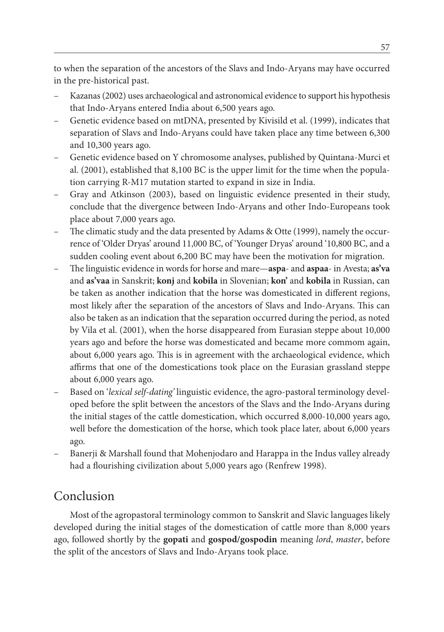to when the separation of the ancestors of the Slavs and Indo-Aryans may have occurred in the pre-historical past.

- Kazanas (2002) uses archaeological and astronomical evidence to support his hypothesis that Indo-Aryans entered India about 6,500 years ago.
- Genetic evidence based on mtDNA, presented by Kivisild et al. (1999), indicates that separation of Slavs and Indo-Aryans could have taken place any time between 6,300 and 10,300 years ago.
- Genetic evidence based on Y chromosome analyses, published by Quintana-Murci et al. (2001), established that 8,100 BC is the upper limit for the time when the population carrying R-M17 mutation started to expand in size in India.
- Gray and Atkinson (2003), based on linguistic evidence presented in their study, conclude that the divergence between Indo-Aryans and other Indo-Europeans took place about 7,000 years ago.
- The climatic study and the data presented by Adams & Otte (1999), namely the occurrence of 'Older Dryas' around 11,000 BC, of 'Younger Dryas' around '10,800 BC, and a sudden cooling event about 6,200 BC may have been the motivation for migration.
- The linguistic evidence in words for horse and mare—**aspa** and **aspaa** in Avesta; **as'va** and **as'vaa** in Sanskrit; **konj** and **kobila** in Slovenian; **kon'** and **kobila** in Russian, can be taken as another indication that the horse was domesticated in different regions, most likely after the separation of the ancestors of Slavs and Indo-Aryans. This can also be taken as an indication that the separation occurred during the period, as noted by Vila et al. (2001), when the horse disappeared from Eurasian steppe about 10,000 years ago and before the horse was domesticated and became more commom again, about 6,000 years ago. This is in agreement with the archaeological evidence, which affirms that one of the domestications took place on the Eurasian grassland steppe about 6,000 years ago.
- Based on '*lexical self-dating'* linguistic evidence, the agro-pastoral terminology developed before the split between the ancestors of the Slavs and the Indo-Aryans during the initial stages of the cattle domestication, which occurred 8,000-10,000 years ago, well before the domestication of the horse, which took place later, about 6,000 years ago.
- Banerji & Marshall found that Mohenjodaro and Harappa in the Indus valley already had a flourishing civilization about 5,000 years ago (Renfrew 1998).

## Conclusion

Most of the agropastoral terminology common to Sanskrit and Slavic languages likely developed during the initial stages of the domestication of cattle more than 8,000 years ago, followed shortly by the **gopati** and **gospod/gospodin** meaning *lord*, *master*, before the split of the ancestors of Slavs and Indo-Aryans took place.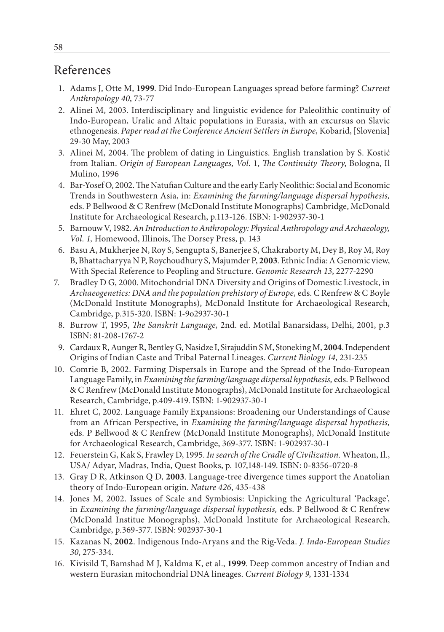## References

- 1. Adams J, Otte M, **1999**. Did Indo-European Languages spread before farming? *Current Anthropology 40*, 73-77
- 2. Alinei M, 2003. Interdisciplinary and linguistic evidence for Paleolithic continuity of Indo-European, Uralic and Altaic populations in Eurasia, with an excursus on Slavic ethnogenesis. *Paper read at the Conference Ancient Settlers in Europe,* Kobarid, [Slovenia] 29-30 May, 2003
- 3. Alinei M, 2004. The problem of dating in Linguistics. English translation by S. Kostić from Italian. *Origin of European Languages, Vol.* 1, *The Continuity Theory*, Bologna, Il Mulino, 1996
- 4. Bar**-**Yosef O, 2002. The Natufian Culture and the early Early Neolithic: Social and Economic Trends in Southwestern Asia, in: *Examining the farming/language dispersal hypothesis,*  eds. P Bellwood & C Renfrew (McDonald Institute Monographs) Cambridge, McDonald Institute for Archaeological Research, p.113-126. ISBN: 1-902937-30-1
- 5. Barnouw V, 1982. *An Introduction to Anthropology: Physical Anthropology and Archaeology, Vol. 1,* Homewood, Illinois, The Dorsey Press, p. 143
- 6. Basu A, Mukherjee N, Roy S, Sengupta S, Banerjee S, Chakraborty M, Dey B, Roy M, Roy B, Bhattacharyya N P, Roychoudhury S, Majumder P, **2003**. Ethnic India: A Genomic view, With Special Reference to Peopling and Structure. *Genomic Research 13*, 2277-2290
- 7. Bradley D G, 2000. Mitochondrial DNA Diversity and Origins of Domestic Livestock, in *Archaeogenetics: DNA and the population prehistory of Europe,* eds. C Renfrew & C Boyle (McDonald Institute Monographs), McDonald Institute for Archaeological Research, Cambridge, p.315-320. ISBN: 1-9o2937-30-1
- 8. Burrow T, 1995, *The Sanskrit Language,* 2nd. ed. Motilal Banarsidass, Delhi, 2001, p.3 ISBN: 81-208-1767-2
- 9. Cardaux R, Aunger R, Bentley G, Nasidze I, Sirajuddin S M, Stoneking M, **2004**. Independent Origins of Indian Caste and Tribal Paternal Lineages. *Current Biology 14*, 231-235
- 10. Comrie B, 2002. Farming Dispersals in Europe and the Spread of the Indo-European Language Family, in *Examining the farming/language dispersal hypothesis,* eds. P Bellwood & C Renfrew (McDonald Institute Monographs), McDonald Institute for Archaeological Research, Cambridge, p.409-419. ISBN: 1-902937-30-1
- 11. Ehret C, 2002. Language Family Expansions: Broadening our Understandings of Cause from an African Perspective, in *Examining the farming/language dispersal hypothesis,*  eds*.* P Bellwood & C Renfrew (McDonald Institute Monographs), McDonald Institute for Archaeological Research, Cambridge, 369-377. ISBN: 1-902937-30-1
- 12. Feuerstein G, Kak S, Frawley D, 1995. *In search of the Cradle of Civilization.* Wheaton, Il., USA/ Adyar, Madras, India, Quest Books, p. 107,148-149. ISBN: 0-8356-0720-8
- 13. Gray D R, Atkinson Q D, **2003**. Language-tree divergence times support the Anatolian theory of Indo-European origin. *Nature 426*, 435-438
- 14. Jones M, 2002. Issues of Scale and Symbiosis: Unpicking the Agricultural 'Package', in *Examining the farming/language dispersal hypothesis,* eds. P Bellwood & C Renfrew (McDonald Institue Monographs), McDonald Institute for Archaeological Research, Cambridge, p.369-377. ISBN: 902937-30-1
- 15. Kazanas N, **2002**. Indigenous Indo-Aryans and the Rig-Veda. *J. Indo-European Studies 30*, 275-334.
- 16. Kivisild T, Bamshad M J, Kaldma K, et al., **1999**. Deep common ancestry of Indian and western Eurasian mitochondrial DNA lineages. *Current Biology 9*, 1331-1334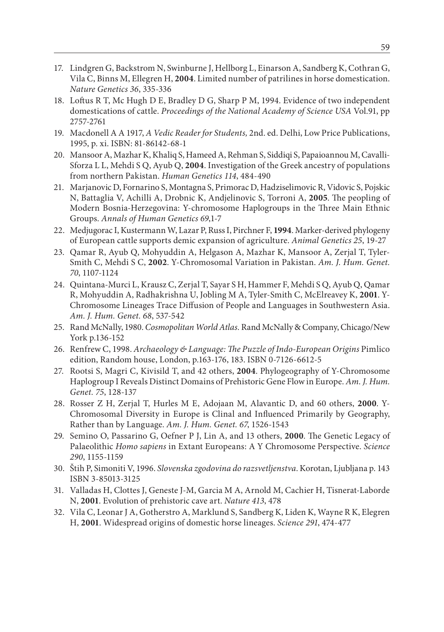- 17. Lindgren G, Backstrom N, Swinburne J, Hellborg L, Einarson A, Sandberg K, Cothran G, Vila C, Binns M, Ellegren H, **2004**. Limited number of patrilines in horse domestication. *Nature Genetics 36*, 335-336
- 18. Loftus R T, Mc Hugh D E, Bradley D G, Sharp P M, 1994. Evidence of two independent domestications of cattle. *Proceedings of the National Academy of Science USA* Vol.91, pp 2757-2761
- 19. Macdonell A A 1917, *A Vedic Reader for Students,* 2nd. ed. Delhi, Low Price Publications, 1995, p. xi. ISBN: 81-86142-68-1
- 20. Mansoor A, Mazhar K, Khaliq S, Hameed A, Rehman S, Siddiqi S, Papaioannou M, Cavalli-Sforza L L, Mehdi S Q, Ayub Q, **2004**. Investigation of the Greek ancestry of populations from northern Pakistan. *Human Genetics 114*, 484-490
- 21. Marjanovic D, Fornarino S, Montagna S, Primorac D, Hadziselimovic R, Vidovic S, Pojskic N, Battaglia V, Achilli A, Drobnic K, Andjelinovic S, Torroni A, **2005**. The peopling of Modern Bosnia-Herzegovina: Y-chromosome Haplogroups in the Three Main Ethnic Groups. *Annals of Human Genetics 69*,1-7
- 22. Medjugorac I, Kustermann W, Lazar P, Russ I, Pirchner F, **1994**. Marker-derived phylogeny of European cattle supports demic expansion of agriculture. *Animal Genetics 25*, 19-27
- 23. Qamar R, Ayub Q, Mohyuddin A, Helgason A, Mazhar K, Mansoor A, Zerjal T, Tyler-Smith C, Mehdi S C, **2002**. Y-Chromosomal Variation in Pakistan. *Am. J. Hum. Genet. 70*, 1107-1124
- 24. Quintana-Murci L, Krausz C, Zerjal T, Sayar S H, Hammer F, Mehdi S Q, Ayub Q, Qamar R, Mohyuddin A, Radhakrishna U, Jobling M A, Tyler-Smith C, McElreavey K, **2001**. Y-Chromosome Lineages Trace Diffusion of People and Languages in Southwestern Asia. *Am. J. Hum. Genet. 68*, 537-542
- 25. Rand McNally, 1980. *Cosmopolitan World Atlas.* Rand McNally & Company, Chicago/New York p.136-152
- 26. Renfrew C, 1998. *Archaeology & Language: The Puzzle of Indo-European Origins* Pimlico edition, Random house, London, p.163-176, 183. ISBN 0-7126-6612-5
- 27. Rootsi S, Magri C, Kivisild T, and 42 others, **2004**. Phylogeography of Y-Chromosome Haplogroup I Reveals Distinct Domains of Prehistoric Gene Flow in Europe. *Am. J. Hum. Genet. 75*, 128-137
- 28. Rosser Z H, Zerjal T, Hurles M E, Adojaan M, Alavantic D, and 60 others, **2000**. Y-Chromosomal Diversity in Europe is Clinal and Influenced Primarily by Geography, Rather than by Language. *Am. J. Hum. Genet. 67*, 1526-1543
- 29. Semino O, Passarino G, Oefner P J, Lin A, and 13 others, **2000**. The Genetic Legacy of Palaeolithic *Homo sapiens* in Extant Europeans: A Y Chromosome Perspective. *Science 290*, 1155-1159
- 30. Štih P, Simoniti V, 1996. *Slovenska zgodovina do razsvetljenstva*. Korotan, Ljubljana p. 143 ISBN 3-85013-3125
- 31. Valladas H, Clottes J, Geneste J-M, Garcia M A, Arnold M, Cachier H, Tisnerat-Laborde N, **2001**. Evolution of prehistoric cave art. *Nature 413*, 478
- 32. Vila C, Leonar J A, Gotherstro A, Marklund S, Sandberg K, Liden K, Wayne R K, Elegren H, **2001**. Widespread origins of domestic horse lineages. *Science 291*, 474-477